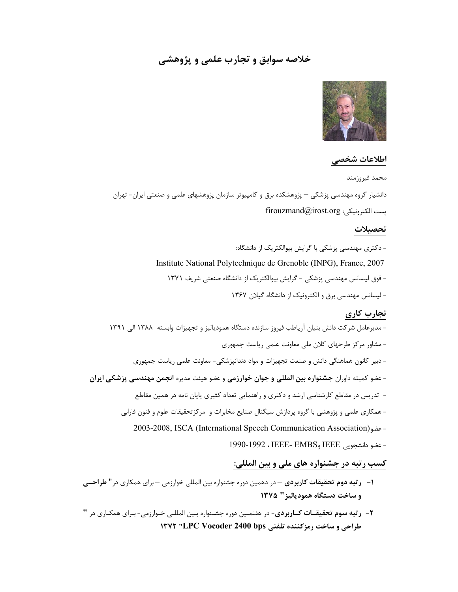# خلاصه سوابق و تجارب علمي و پژوهشي



### اطلاعات شخصي

محمد فيروزمند دانشيار گروه مهندسي پزشكي – پژوهشكده برق و كامپيوتر سازمان پژوهشهاي علمي و صنعتي ايران- تهران firouzmand@irost.org :الكترونيكي پست تحصيلات - دكتري مهندسي پزشكي با گرايش بيوالكتريك از دانشگاه: Institute National Polytechnique de Grenoble (INPG), France, 2007 - فوق ليسانس مهندسي پزشكي - گرايش بيوالكتريك از دانشگاه صنعتي شريف ١٣٧١ - ليسانس مهندسي برق و الكترونيك از دانشگاه گيلان ١٣٦٧ تجارب كاري - مديرعامل شركت دانش بنيان آرياطب فيروز سازنده دستگاه همودياليز و تجهيزات وابسته ١٣٨٨ الي ١٣٩١ - مشاور مركز طرحهاي كلان ملي معاونت علمي رياست جمهوري - دبير كانون هماهنگي دانش و صنعت تجهيزات و مواد دندانپزشكي- معاونت علمي رياست جمهوري - عضو كميته داوران جشنواره بين المللي و جوان خوارزمي و عضو هيئت مديره انجمن مهندسي پزشكي ايران - تدريس در مقاطع كارشناسي ارشد و دكتري و راهنمايي تعداد كثيري پايان نامه در همين مقاطع - همكاري علمي و پژوهشي با گروه پردازش سيگنال صنايع مخابرات و مركزتحقيقات علوم و فنون فارابي 2003-2008, ISCA (International Speech Communication Association)عضو -

#### - عضو دانشجويي IEEE وEMBS -IEEE ، 1990-1992

# كسب رتبه در جشنواره هاي ملي و بين المللي:

- -١ رتبه دوم تحقيقات كاربردي در دهمين دوره جشنواره بين المللي خوارزمي براي همكاري در" طراحـي و ساخت دستگاه همودياليز" ١٣٧٥
- -٢ رتبه سوم تحقيقـات كـاربردي- در هفتمـين دوره جشـنواره بـين المللـي خـوارزمي- بـراي همكـاري در " طراحي و ساخت رمزكننده تلفني bps 2400 Vocoder LPC "١٣٧٢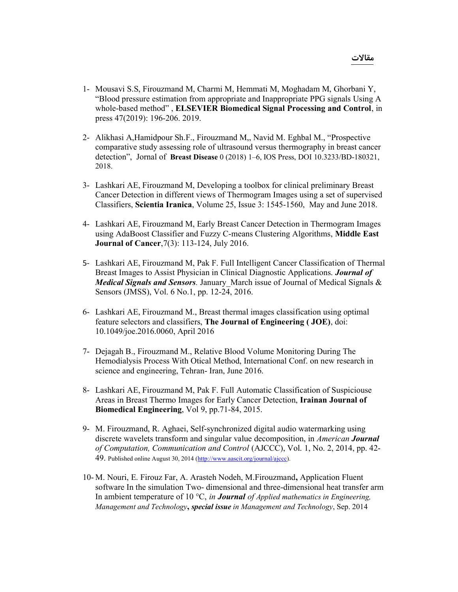- 1- Mousavi S.S, Firouzmand M, Charmi M, Hemmati M, Moghadam M, Ghorbani Y, "Blood pressure estimation from appropriate and Inappropriate PPG signals Using A whole-based method" , ELSEVIER Biomedical Signal Processing and Control, in press 47(2019): 196-206. 2019.
- 2- Alikhasi A,Hamidpour Sh.F., Firouzmand M,, Navid M. Eghbal M., "Prospective comparative study assessing role of ultrasound versus thermography in breast cancer detection", Jornal of Breast Disease 0 (2018) 1–6, IOS Press, DOI 10.3233/BD-180321, 2018.
- 3- Lashkari AE, Firouzmand M, Developing a toolbox for clinical preliminary Breast Cancer Detection in different views of Thermogram Images using a set of supervised Classifiers, Scientia Iranica, Volume 25, Issue 3: 1545-1560, May and June 2018.
- 4- Lashkari AE, Firouzmand M, Early Breast Cancer Detection in Thermogram Images using AdaBoost Classifier and Fuzzy C-means Clustering Algorithms, Middle East Journal of Cancer,7(3): 113-124, July 2016.
- 5- Lashkari AE, Firouzmand M, Pak F. Full Intelligent Cancer Classification of Thermal Breast Images to Assist Physician in Clinical Diagnostic Applications. **Journal of Medical Signals and Sensors**. January March issue of Journal of Medical Signals & Sensors (JMSS), Vol. 6 No.1, pp. 12-24, 2016.
- 6- Lashkari AE, Firouzmand M., Breast thermal images classification using optimal feature selectors and classifiers, The Journal of Engineering ( JOE), doi: 10.1049/joe.2016.0060, April 2016
- 7- Dejagah B., Firouzmand M., Relative Blood Volume Monitoring During The Hemodialysis Process With Otical Method, International Conf. on new research in science and engineering, Tehran- Iran, June 2016.
- 8- Lashkari AE, Firouzmand M, Pak F. Full Automatic Classification of Suspiciouse Areas in Breast Thermo Images for Early Cancer Detection, Irainan Journal of Biomedical Engineering, Vol 9, pp.71-84, 2015.
- 9- M. Firouzmand, R. Aghaei, Self-synchronized digital audio watermarking using discrete wavelets transform and singular value decomposition, in American **Journal** of Computation, Communication and Control (AJCCC), Vol. 1, No. 2, 2014, pp. 42- 49. Published online August 30, 2014 (http://www.aascit.org/journal/ajccc).
- 10- M. Nouri, E. Firouz Far, A. Arasteh Nodeh, M.Firouzmand, Application Fluent software In the simulation Two- dimensional and three-dimensional heat transfer arm In ambient temperature of 10  $\degree$ C, in **Journal** of Applied mathematics in Engineering, Management and Technology, special issue in Management and Technology, Sep. 2014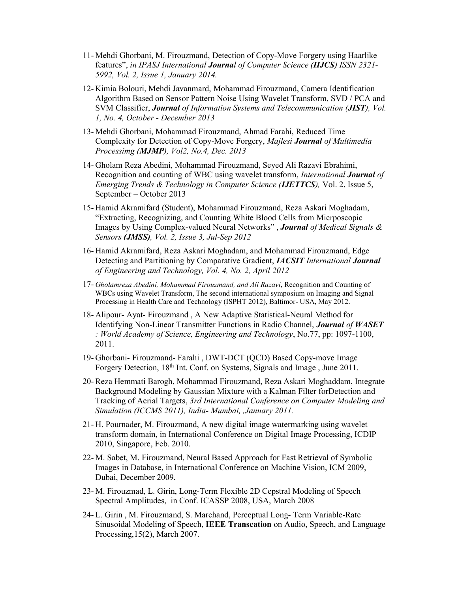- 11- Mehdi Ghorbani, M. Firouzmand, Detection of Copy-Move Forgery using Haarlike features", in IPASJ International Journal of Computer Science (IIJCS) ISSN 2321- 5992, Vol. 2, Issue 1, January 2014.
- 12- Kimia Bolouri, Mehdi Javanmard, Mohammad Firouzmand, Camera Identification Algorithm Based on Sensor Pattern Noise Using Wavelet Transform, SVD / PCA and SVM Classifier, Journal of Information Systems and Telecommunication (JIST), Vol. 1, No. 4, October - December 2013
- 13- Mehdi Ghorbani, Mohammad Firouzmand, Ahmad Farahi, Reduced Time Complexity for Detection of Copy-Move Forgery, Majlesi Journal of Multimedia Processimg (MJMP), Vol2, No.4, Dec. 2013
- 14- Gholam Reza Abedini, Mohammad Firouzmand, Seyed Ali Razavi Ebrahimi, Recognition and counting of WBC using wavelet transform, International Journal of Emerging Trends & Technology in Computer Science (IJETTCS), Vol. 2, Issue 5, September – October 2013
- 15- Hamid Akramifard (Student), Mohammad Firouzmand, Reza Askari Moghadam, "Extracting, Recognizing, and Counting White Blood Cells from Micrposcopic Images by Using Complex-valued Neural Networks", **Journal** of Medical Signals & Sensors (JMSS), Vol. 2, Issue 3, Jul-Sep 2012
- 16- Hamid Akramifard, Reza Askari Moghadam, and Mohammad Firouzmand, Edge Detecting and Partitioning by Comparative Gradient, IACSIT International Journal of Engineering and Technology, Vol. 4, No. 2, April 2012
- 17- Gholamreza Abedini, Mohammad Firouzmand, and Ali Razavi, Recognition and Counting of WBCs using Wavelet Transform, The second international symposium on Imaging and Signal Processing in Health Care and Technology (ISPHT 2012), Baltimor- USA, May 2012.
- 18- Alipour- Ayat- Firouzmand , A New Adaptive Statistical-Neural Method for Identifying Non-Linear Transmitter Functions in Radio Channel, Journal of WASET : World Academy of Science, Engineering and Technology, No.77, pp: 1097-1100, 2011.
- 19- Ghorbani- Firouzmand- Farahi , DWT-DCT (QCD) Based Copy-move Image Forgery Detection, 18<sup>th</sup> Int. Conf. on Systems, Signals and Image, June 2011.
- 20- Reza Hemmati Barogh, Mohammad Firouzmand, Reza Askari Moghaddam, Integrate Background Modeling by Gaussian Mixture with a Kalman Filter forDetection and Tracking of Aerial Targets, 3rd International Conference on Computer Modeling and Simulation (ICCMS 2011), India- Mumbai, ,January 2011.
- 21- H. Pournader, M. Firouzmand, A new digital image watermarking using wavelet transform domain, in International Conference on Digital Image Processing, ICDIP 2010, Singapore, Feb. 2010.
- 22- M. Sabet, M. Firouzmand, Neural Based Approach for Fast Retrieval of Symbolic Images in Database, in International Conference on Machine Vision, ICM 2009, Dubai, December 2009.
- 23- M. Firouzmad, L. Girin, Long-Term Flexible 2D Cepstral Modeling of Speech Spectral Amplitudes, in Conf. ICASSP 2008, USA, March 2008
- 24- L. Girin , M. Firouzmand, S. Marchand, Perceptual Long- Term Variable-Rate Sinusoidal Modeling of Speech, IEEE Transcation on Audio, Speech, and Language Processing,15(2), March 2007.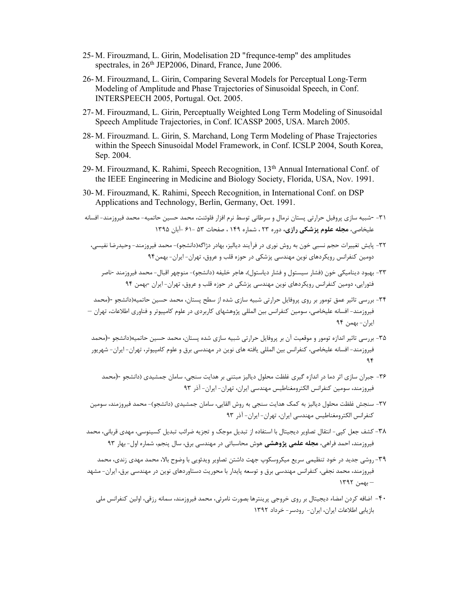- 25- M. Firouzmand, L. Girin, Modelisation 2D "frequnce-temp" des amplitudes spectrales, in 26<sup>th</sup> JEP2006, Dinard, France, June 2006.
- 26- M. Firouzmand, L. Girin, Comparing Several Models for Perceptual Long-Term Modeling of Amplitude and Phase Trajectories of Sinusoidal Speech, in Conf. INTERSPEECH 2005, Portugal. Oct. 2005.
- 27- M. Firouzmand, L. Girin, Perceptually Weighted Long Term Modeling of Sinusoidal Speech Amplitude Trajectories, in Conf. ICASSP 2005, USA. March 2005.
- 28- M. Firouzmand. L. Girin, S. Marchand, Long Term Modeling of Phase Trajectories within the Speech Sinusoidal Model Framework, in Conf. ICSLP 2004, South Korea, Sep. 2004.
- 29- M. Firouzmand, K. Rahimi, Speech Recognition, 13th Annual International Conf. of the IEEE Engineering in Medicine and Biology Society, Florida, USA, Nov. 1991.
- 30- M. Firouzmand, K. Rahimi, Speech Recognition, in International Conf. on DSP Applications and Technology, Berlin, Germany, Oct. 1991.
- -٣١ -شبيه سازي پروفيل حرارتي پستان نرمال و سرطاني توسط نرم افزار فلوئنت، محمد حسين حاتميه- محمد فيروزمند- افسانه عليخاصي، مجله علوم پزشكي رازي، دوره ٢٣ ، شماره ١٤٩ ، صفحات ٥٣ - ٦١ -آبان ١٣٩٥
	- -٣٢ پايش تغييرات حجم نسبي خون به روش نوري در فرآيند دياليز، بهادر دژاگه(دانشجو)- محمد فيروزمند- وحيدرضا نفيسي، دومين كنفرانس رويكردهاي نوين مهندسي پزشكي در حوزه قلب و عروق، تهران- ايران- بهمن٩٤
		- -٣٣ بهبود ديناميكي خون (فشار سيستول و فشار دياستول)، هاجر خليفه (دانشجو)- منوچهر اقبال- محمد فيروزمند -ناصر فتورايي، دومين كنفرانس رويكردهاي نوين مهندسي پزشكي در حوزه قلب و عروق، تهران- ايران -بهمن ٩٤
- -٣٤ بررسي تاثير عمق تومور بر روي پروفايل حرارتي شبيه سازي شده از سطح پستان، محمد حسين حاتميه(دانشجو -(محمد فيروزمند- افسانه عليخاصي، سومين كنفرانس بين المللي پژوهشهاي كاربردي در علوم كامپيوتر و فناوري اطلاعات، تهران – ايران- بهمن ٩٤
- -٣٥ بررسي تاثير اندازه تومور و موقعيت آن بر پروفايل حرارتي شبيه سازي شده پستان، محمد حسين حاتميه(دانشجو -(محمد فيروزمند- افسانه عليخاصي، كنفرانس بين المللي يافته هاي نوين در مهندسي برق و علوم كامپيوتر، تهران- ايران- شهريور ٩٤
	- -٣٦ جبران سازي اثر دما در اندازه گيري غلظت محلول دياليز مبتني بر هدايت سنجي، سامان جمشيدي (دانشجو -(محمد فيروزمند، سومين كنفرانس الكترومغناطيس مهندسي ايران، تهران- ايران- آذر ٩٣
- -٣٧ سنجش غلظت محلول دياليز به كمك هدايت سنجي به روش القايي، سامان جمشيدي (دانشجو)- محمد فيروزمند، سومين كنفرانس الكترومغناطيس مهندسي ايران، تهران- ايران- آذر ٩٣
- -٣٨كشف جعل كپي- انتقال تصاوير ديجيتال با استفاده از تبديل موجك و تجزيه ضرائب تبديل كسينوسي، مهدي قرباني، محمد فيروزمند، احمد فراهي، مجله علمي پژوهشي هوش محاسباتي در مهندسي برق، سال پنجم، شماره اول- بهار ٩٣
- -٣٩روشي جديد در خود تنظيمي سريع ميكروسكوپ جهت داشتن تصاوير ويدئويي با وضوح بالا، محمد مهدي زندي، محمد فيروزمند، محمد نجفي، كنفرانس مهندسي برق و توسعه پايدار با محوريت دستاوردهاي نوين در مهندسي برق، ايران- مشهد – بهمن ١٣٩٢
	- -٤٠ اضافه كردن امضاء ديجيتال بر روي خروجي پرينترها بصورت نامرئي، محمد فيروزمند، سمانه رزقي، اولين كنفرانس ملي بازيابي اطلاعات ايران، ايران- رودسر- خرداد ١٣٩٢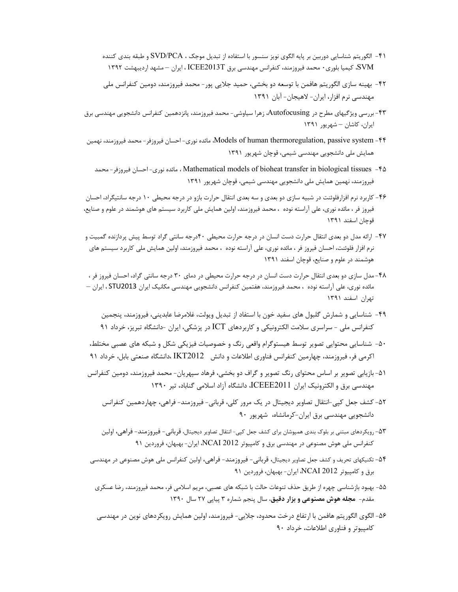- -٤١ الگوريتم شناسايي دوربين بر پايه الگوي نويز سنسور با استفاده از تبديل موجك ، PCA/SVD و طبقه بندي كننده SVM، كيميا بلوري٠ محمد فيروزمند، كنفرانس مهندسي برق T2013ICEE ، ايران – مشهد ارديبهشت ١٣٩٢
- -٤٢ بهينه سازي الگوريتم هافمن با توسعه دو بخشي، حميد جلايي پور- محمد فيروزمند، دومين كنفرانس ملي مهندسي نرم افزار، ايران- لاهيجان- آبان ١٣٩١
- -٤٣بررسي ويژگيهاي مطرح در Autofocusing، زهرا سياوشي- محمد فيروزمند، پانزدهمين كنفرانس دانشجويي مهندسي برق ايران، كاشان – شهريور ١٣٩١
- -٤٤ system passive ,thermoregulation human of Models، مائده نوري- احسان فيروزفر- محمد فيروزمند، نهمين همايش ملي دانشجويي مهندسي شيمي، قوچان شهريور ١٣٩١
	- محمد -فيروزفر احسان -نوري مائده ، Mathematical models of bioheat transfer in biological tissues -٤٥ فيروزمند، نهمين همايش ملي دانشجويي مهندسي شيمي، قوچان شهريور ١٣٩١
- -٤٦ كاربرد نرم افزارفلوئنت در شبيه سازي دو بعدي و سه بعدي انتقال حرارت بازو در درجه محيطي ١٠ درجه سانتيگراد، احسان فيروز فر ، مائده نوري، علي آراسته نوده ، محمد فيروزمند، اولين همايش ملي كاربرد سيستم هاي هوشمند در علوم و صنايع، قوچان اسفند ١٣٩١
- -٤٧ ارائه مدل دو بعدي انتقال حرارت دست انسان در درجه حرارت محيطي ٤٠درجه سانتي گراد توسط پيش پردازنده گمبيت و نرم افزار فلوئنت، احسان فيروز فر ، مائده نوري، علي آراسته نوده ، محمد فيروزمند، اولين همايش ملي كاربرد سيستم هاي هوشمند در علوم و صنايع، قوچان اسفند ١٣٩١
- -٤٨مدل سازي دو بعدي انتقال حرارت دست انسان در درجه حرارت محيطي در دماي ٣٠ درجه سانتي گراد، احسان فيروز فر ، مائده نوري، علي آراسته نوده ، محمد فيروزمند، هفتمين كنفرانس دانشجويي مهندسي مكانيك ايران 2013STU ، ايران – تهران اسفند ١٣٩١
	- -٤٩ شناسايي و شمارش گلبول هاي سفيد خون با استفاد از تبديل ويولت، غلامرضا عابديني، فيروزمند، پنجمين كنفرانس ملي - سراسري سلامت الكترونيكي و كاربردهاي ICT در پزشكي، ايران -دانشگاه تبريز، خرداد ٩١
- -٥٠ شناسايي محتوايي تصوير توسط هيستوگرام واقعي رنگ و خصوصيات فيزيكي شكل و شبكه هاي عصبي مختلط، اكرمي فر، فيروزمند، چهارمين كنفرانس فناوري اطلاعات و دانش 2012IKT ،دانشگاه صنعتي بابل، خرداد ٩١
- -٥١ بازيابي تصوير بر اساس محتواي رنگ تصوير و گراف دو بخشي، فرهاد سپهريان- محمد فيروزمند، دومين كنفرانس مهندسي برق و الكترونيك ايران 2011ICEEE، دانشگاه آزاد اسلامي گناباد، تير ١٣٩٠
	- -٥٢ كشف جعل كپي-انتقال تصاوير ديجيتال در يك مرور كلي، قرباني- فيروزمند- فراهي، چهاردهمين كنفرانس دانشجويي مهندسي برق ايران- كرمانشاه، شهريور ٩٠
	- -٥٣رويكردهاي مبتني بر بلوك بندي همپوشان براي كشف جعل كپي- انتقال تصاوير ديجيتال، قرباني- فيروزمند- فراهي، اولين كنفرانس ملي هوش مصنوعي در مهندسي برق و كامپيوتر 2012 NCAI، ايران- بهبهان، فروردين ٩١
- -٥٤تكنيكهاي تحريف و كشف جعل تصاوير ديجيتال، قرباني- فيروزمند- فراهي، اولين كنفرانس ملي هوش مصنوعي در مهندسي برق و كامپيوتر 2012 NCAI، ايران- بهبهان، فروردين ٩١
- -٥٥ بهبود بازشناسي چهره از طريق حذف تنوعات حالت با شبكه هاي عصبي، مريم اسلامي فر، محمد فيروزمند، رضا عسكري مقدم- مجله هوش مصنوعي و بزار دقيق، سال پنجم شماره ٣ پياپي ٢٧ سال ١٣٩٠
- -٥٦ الگوي الگوريتم هافمن با ارتفاع درخت محدود، جلايي- فيروزمند، اولين همايش رويكردهاي نوين در مهندسي كامپيوتر و فناوري اطلاعات، خرداد ٩٠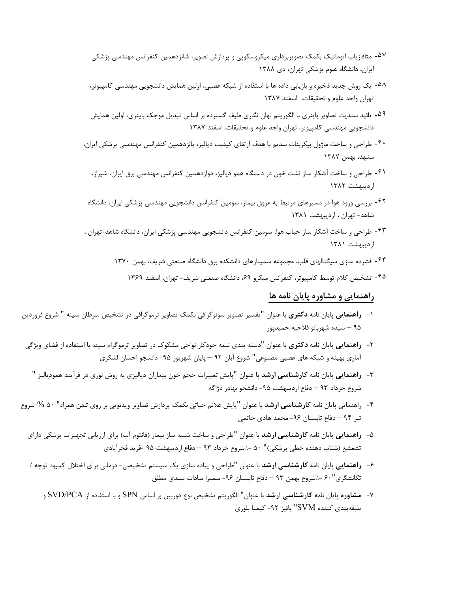- -۵٧ متافازياب اتوماتيك بكمك تصويربرداري ميكروسكوپي و پردازش تصوير، شانزدهمين كنفرانس مهندسي پزشكي ايران، دانشگاه علوم پزشكي تهران، دي ١٣٨٨
- -۵٨ يك روش جديد ذخيره و بازيابي داده ها با استفاده از شبكه عصبي، اولين همايش دانشجويي مهندسي كامپيوتر، تهران واحد علوم و تحقيقات، اسفند ١٣٨٧
- -۵٩ تائيد سنديت تصاوير باينري با الگوريتم نهان نگاري طيف گسترده بر اساس تبديل موجك باينري، اولين همايش دانشجويي مهندسي كامپيوتر، تهران واحد علوم و تحقيقات، اسفند ١٣٨٧
- -۶٠ طراحي و ساخت ماژول بيكربنات سديم با هدف ارثقاي كيفيت دياليز، پانزدهمين كنفرانس مهندسي پزشكي ايران، مشهد، بهمن ١٣٨٧
	- -۶١ طراحي و ساخت آشكار ساز نشت خون در دستگاه همو دياليز، دوازدهمين كنفرانس مهندسي برق ايران، شيراز، ارديبهشت ١٣٨٢
- -۶٢ بررسي ورود هوا در مسيرهاي مرتبط به عروق بيمار، سومين كنفرانس دانشجويي مهندسي پزشكي ايران، دانشگاه شاهد- تهران ، ارديبهشت ١٣٨١
- -۶٣ طراحي و ساخت آشكار ساز حباب هوا، سومين كنفرانس دانشجويي مهندسي پزشكي ايران، دانشگاه شاهد-تهران ، ارديبهشت ١٣٨١
	- -۶۴ فشرده سازي سيگنالهاي قلب، مجموعه سمينارهاي دانشكده برق دانشگاه صنعتي شريف، بهمن ١٣٧٠
		- -۶۵ تشخيص كلام توسط كامپيوتر، كنفرانس ميكرو ،٦٩ دانشگاه صنعتي شريف- تهران، اسفند ١٣٦٩

## راهنمايي و مشاوره پايان نامه ها

- -١ راهنمايي پايان نامه دكتري با عنوان "تفسير تصاوير سونوگرافي بكمك تصاوير ترموگرافي در تشخيص سرطان سينه " شروع فروردين ٩٥ – سيده شهربانو فلاحيه حميدپور
- -٢ راهنمايي پايان نامه دكتري با عنوان "دسته بندي نيمه خودكار نواحي مشكوك در تصاوير ترموگرام سينه با استفاده از فضاي ويژگي آماري بهينه و شبكه هاي عصبي مصنوعي" شروع آبان ٩٢ – پايان شهريور -٩٥ دانشجو احسان لشكري
	- -٣ راهنمايي پايان نامه كارشناسي ارشد با عنوان "پايش تغييرات حجم خون بيماران دياليزي به روش نوري در فرآيند همودياليز " شروع خرداد ٩٣ – دفاع ارديبهشت ٩۵- دانشجو بهادر دژاگه
- -٤ راهنمايي پايان نامه كارشناسي ارشد با عنوان "پايش علائم حياتي بكمك پردازش تصاوير ويدئويي بر روي تلفن همراه" ٥٠ -%شروع تير ٩٤ – دفاع تابستان -٩٦ محمد هادي خاتمي
	- -٥ راهنمايي پايان نامه كارشناسي ارشد با عنوان "طراحي و ساخت شبيه ساز بيمار (فانتوم آب) براي ارزيابي تجهيزات پزشكي داراي تشعشع (شتاب دهنده خطي پزشكي)" ٥٠ %-شروع خرداد ٩٣ – دفاع ارديبهشت ٩٥ -فريد فخرآبادي
	- -٦ راهنمايي پايان نامه كارشناسي ارشد با عنوان "طراحي و پياده سازي يك سيستم تشخيصي- درماني براي اختلال كمبود توجه / تكانشگري"۶۰ -/شروع بهمن ٩٣ – دفاع تابستان ٩۶- سميرا سادات سيدي مطلق
		- -٧ مشاوره پايان نامه كارشناسي ارشد با عنوان" الگوريتم تشخيص نوع دوربين بر اساس SPN و با استفاده از PCA/SVD و طبقهبندي كننده SVM "پائيز -٩٢ كيميا بلوري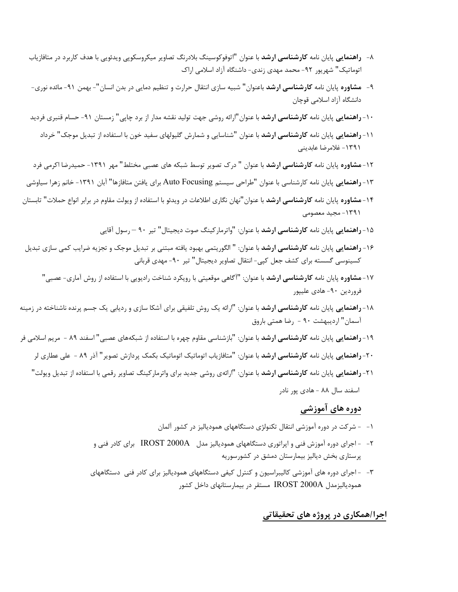- -٨ راهنمايي پايان نامه كارشناسي ارشد با عنوان "اتوفوكوسينگ بلادرنگ تصاوير ميكروسكوپي ويدئويي با هدف كاربرد در متافازياب اتوماتيك" شهريور -٩٢ محمد مهدي زندي- داشنگاه آزاد اسلامي اراك
- -٩ مشاوره پايان نامه كارشناسي ارشد باعنوان" شبيه سازي انتقال حرارت و تنظيم دمايي در بدن انسان"- بهمن -٩١ مائده نوري- دانشگاه آزاد اسلامي قوچان
- -١٠راهنمايي پايان نامه كارشناسي ارشد با عنوان"ارائه روشي جهت توليد نقشه مدار از برد چاپي" زمستان -٩١ حسام قنبري فرديد
	- ١١- **راهنمايي** پايان نامه **كارشناسي ارشد** با عنوان "شناسايي و شمارش گليولهاي سفيد خون با استفاده از تبديل موجك" خرداد -١٣٩١ غلامرضا عابديني
- ١٢- **مشاوره** پايان نامه **كارشناسي ارشد** با عنوان " درك تصوير توسط شبكه هاي عصبي مختلط" مهر ١٣٩١- حميدرضا اكرمي فرد

-١٣راهنمايي پايان نامه كارشناسي با عنوان "طراحي سيستم Focusing Auto براي يافتن متافازها" آبان -١٣٩١ خانم زهرا سياوشي

- -١٤مشاوره پايان نامه كارشناسي ارشد با عنوان"نهان نگاري اطلاعات در ويدئو با استفاده از ويولت مقاوم در برابر انواع حملات" تابستان -١٣٩١ مجيد معصومي
	- ١۵- **راهنمايي** پايان نامه **كارشناسي ارشد** با عنوان: "واترماركينگ صوت ديجيتال" تير ٩٠ <sub>ر</sub>سول آقايي
- ۱۶- **راهنمايي** پايان نامه **كارشناسي ارشد** با عنوان: " الگوريتمي بهبود يافته مبتني بر تبديل موجک و تجزيه ضرايب كمي سازي تبديل كسينوسي گسسته براي كشف جعل كپي- انتقال تصاوير ديجيتال" تير -٩٠ مهدي قرباني
	- ١٧- مشاوره پايان نامه كارشناسي ارشد با عنوان: "آگاهي موقعيتي با رويكرد شناخت راديويي با استفاده از روش آماري- عصبي" فروردين -٩٠ هادي عليپور
- ١٨- **راهنمايي** پايان نامه **كارشناسي ارشد** با عنوان: "ارائه يك روش تلفيقي براي آشكا سازي و رديابي يك جسم پرنده ناشناخته در زمينه آسمان" ارديبهشت ٩٠ - رضا همتي باروق
- -١٩راهنمايي پايان نامه كارشناسي ارشد با عنوان: "بازشناسي مقاوم چهره با استفاده از شبكههاي عصبي" اسفند ٨٩ مريم اسلامي فر
	- -٢٠راهنمايي پايان نامه كارشناسي ارشد با عنوان: "متافازياب اتوماتيك اتوماتيك بكمك پردازش تصوير" آذر ٨٩ علي عطاري لر
	- -٢١راهنمايي پايان نامه كارشناسي ارشد با عنوان: "ارائهي روشي جديد براي واترماركينگ تصاوير رقمي با استفاده از تبديل ويولت" اسفند سال ٨٨ - هادي پور نادر

## دوره هاي آموزشي

- -١ شركت در دوره آموزشي انتقال تكنولژي دستگاههاي همودياليز در كشور آلمان
- -٢ اجراي دوره آموزش فني و اپراتوري دستگاههاي همودياليز مدل A2000 IROST براي كادر فني و پرستاري بخش دياليز بيمارستان دمشق در كشورسوريه
- -٣ اجراي دوره هاي آموزشي كاليبراسيون و كنترل كيفي دستگاههاي همودياليز براي كادر فني دستگاههاي همودياليزمدل A2000 IROST مستقر در بيمارستانهاي داخل كشور

## اجرا/همكاري در پروژه هاي تحقيقاتي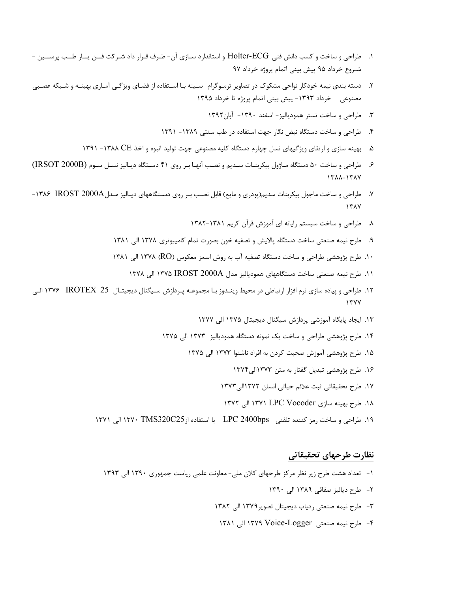- .١ طراحي و ساخت و كسب دانش فني ECG-Holter و استاندارد سـازي آن- طـرف قـرار داد شـركت فــن يــار طــب پرســين شـروع خرداد ٩٥ پيش بيني اتمام پروژه خرداد ٩٧
- .٢ دسته بندي نيمه خودكار نواحي مشكوك در تصاوير ترمـوگرام سـينه بـا اسـتفاده از فضـاي ويژگـي آمـاري بهينـه و شـبكه عصـبي مصنوعي خرداد -١٣٩٣ پيش بيني اتمام پروژه تا خرداد ١٣٩٥
	- .٣ طراحي و ساخت تستر همودياليز- اسفند -١٣٩٠ آبان١٣٩٢
	- .٤ طراحي و ساخت دستگاه نبض نگار جهت استفاده در طب سنتي -١٣٨٩ ١٣٩١
	- .٥ بهينه سازي و ارتقاي ويژگيهاي نسل چهارم دستگاه كليه مصنوعي جهت توليد انبوه و اخذ CE -١٣٨٨ ١٣٩١
- .٦ طراحي و ساخت ٥٠ دستگاه مـاژول بيكربنـات سـديم و نصـب آنهـا بـر روي ٤١ دسـتگاه ديـاليز نسـل سـوم (B2000 IRSOT( ١٣٨٨-١٣٨٧
- .٧ طراحي و ساخت ماجول بيكربنات سديم(پودري و مايع) قابل نصـب بـر روي دسـتگاههاي ديـاليز مـدلA2000 IROST -١٣٨٦ ١٣٨٧
	- .٨ طراحي و ساخت سيستم رايانه اي آموزش قرآن كريم ١٣٨٢-١٣٨١
	- .٩ طرح نيمه صنعتي ساخت دستگاه پالايش و تصفيه خون بصورت تمام كامپيوتري ١٣٧٨ الي ١٣٨١
	- .١٠ طرح پژوهشي طراحي و ساخت دستگاه تصفيه آب به روش اسمز معكوس (RO (١٣٧٨ الي ١٣٨١
		- .١١ طرح نيمه صنعتي ساخت دستگاههاي همودياليز مدل A2000 IROST ١٣٧٥ الي ١٣٧٨
- .١٢ طراحي و پياده سازي نرم افزار ارتباطي در محيط وينـدوز بـا مجموعـه پـردازش سـيگنال ديجيتـال 25 IROTEX ١٣٧٦ الـي ١٣٧٧
	- .١٣ ايجاد پايگاه آموزشي پردازش سيگنال ديجيتال ١٣٧٥ الي ١٣٧٧
	- .١٤ طرح پژوهشي طراحي و ساخت يك نمونه دستگاه همودياليز ١٣٧٣ الي ١٣٧٥
		- .١٥ طرح پژوهشي آموزش صحبت كردن به افراد ناشنوا ١٣٧٣ الي ١٣٧٥
			- .١٦ طرح پژوهشي تبديل گفتار به متن ١٣٧٣الي١٣٧٤
			- .١٧ طرح تحقيقاتي ثبت علائم حياتي انسان ١٣٧٢الي١٣٧٣
			- .١٨ طرح بهينه سازي Vocoder LPC ١٣٧١ الي ١٣٧٢
	- .١٩ طراحي و ساخت رمز كننده تلفني bps2400 LPC با استفاده از25C320TMS ١٣٧٠ الي ١٣٧١

### نظارت طرحهاي تحقيقاتي

- -١ تعداد هشت طرح زير نظر مركز طرحهاي كلان ملي- معاونت علمي رياست جمهوري ١٣٩٠ الي ١٣٩٣
	- -٢ طرح دياليز صفاقي ١٣٨٩ الي ١٣٩٠
	- -٣ طرح نيمه صنعتي ردياب ديجيتال تصوير١٣٧٩ الي ١٣٨٢
	- -٤ طرح نيمه صنعتي Logger-Voice ١٣٧٩ الي ١٣٨١